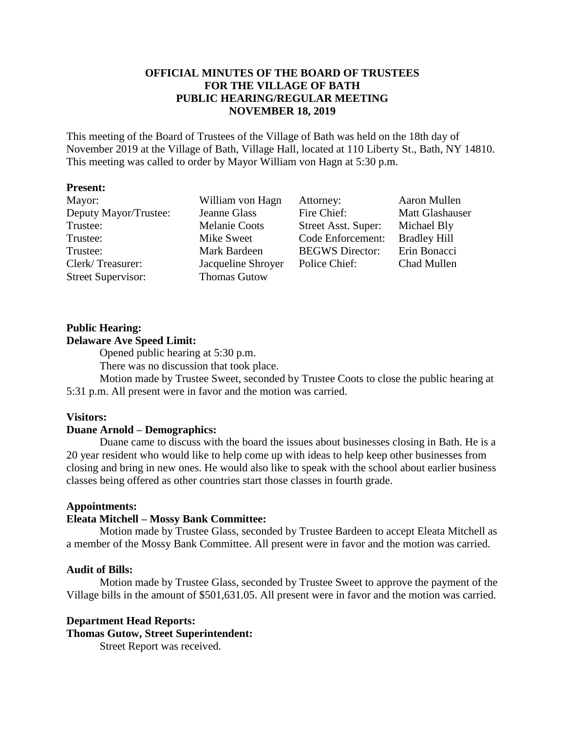## **OFFICIAL MINUTES OF THE BOARD OF TRUSTEES FOR THE VILLAGE OF BATH PUBLIC HEARING/REGULAR MEETING NOVEMBER 18, 2019**

This meeting of the Board of Trustees of the Village of Bath was held on the 18th day of November 2019 at the Village of Bath, Village Hall, located at 110 Liberty St., Bath, NY 14810. This meeting was called to order by Mayor William von Hagn at 5:30 p.m.

#### **Present:**

| Mayor:                    | William von Hagn     | Attorney:              | Aaron Mullen        |
|---------------------------|----------------------|------------------------|---------------------|
| Deputy Mayor/Trustee:     | Jeanne Glass         | Fire Chief:            | Matt Glashauser     |
| Trustee:                  | <b>Melanie Coots</b> | Street Asst. Super:    | Michael Bly         |
| Trustee:                  | Mike Sweet           | Code Enforcement:      | <b>Bradley Hill</b> |
| Trustee:                  | Mark Bardeen         | <b>BEGWS</b> Director: | Erin Bonacci        |
| Clerk/Treasurer:          | Jacqueline Shroyer   | Police Chief:          | Chad Mullen         |
| <b>Street Supervisor:</b> | <b>Thomas Gutow</b>  |                        |                     |

#### **Public Hearing:**

## **Delaware Ave Speed Limit:**

Opened public hearing at 5:30 p.m.

There was no discussion that took place.

Motion made by Trustee Sweet, seconded by Trustee Coots to close the public hearing at 5:31 p.m. All present were in favor and the motion was carried.

#### **Visitors:**

#### **Duane Arnold – Demographics:**

Duane came to discuss with the board the issues about businesses closing in Bath. He is a 20 year resident who would like to help come up with ideas to help keep other businesses from closing and bring in new ones. He would also like to speak with the school about earlier business classes being offered as other countries start those classes in fourth grade.

#### **Appointments:**

#### **Eleata Mitchell – Mossy Bank Committee:**

Motion made by Trustee Glass, seconded by Trustee Bardeen to accept Eleata Mitchell as a member of the Mossy Bank Committee. All present were in favor and the motion was carried.

#### **Audit of Bills:**

Motion made by Trustee Glass, seconded by Trustee Sweet to approve the payment of the Village bills in the amount of \$501,631.05. All present were in favor and the motion was carried.

#### **Department Head Reports:**

## **Thomas Gutow, Street Superintendent:**

Street Report was received.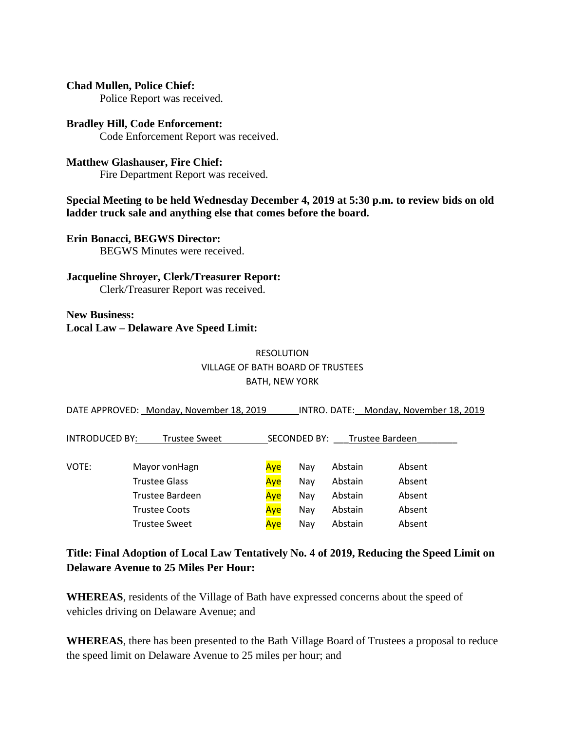## **Chad Mullen, Police Chief:**

Police Report was received.

# **Bradley Hill, Code Enforcement:**

Code Enforcement Report was received.

## **Matthew Glashauser, Fire Chief:**

Fire Department Report was received.

## **Special Meeting to be held Wednesday December 4, 2019 at 5:30 p.m. to review bids on old ladder truck sale and anything else that comes before the board.**

**Erin Bonacci, BEGWS Director:** BEGWS Minutes were received.

## **Jacqueline Shroyer, Clerk/Treasurer Report:**

Clerk/Treasurer Report was received.

## **New Business: Local Law – Delaware Ave Speed Limit:**

## RESOLUTION VILLAGE OF BATH BOARD OF TRUSTEES BATH, NEW YORK

|                | DATE APPROVED: Monday, November 18, 2019 |     |              |                 | INTRO. DATE: Monday, November 18, 2019 |
|----------------|------------------------------------------|-----|--------------|-----------------|----------------------------------------|
| INTRODUCED BY: | Trustee Sweet                            |     | SECONDED BY: | Trustee Bardeen |                                        |
| VOTE:          | Mayor vonHagn                            | Aye | Nay          | Abstain         | Absent                                 |
|                | Trustee Glass                            | Aye | Nay          | Abstain         | Absent                                 |
|                | Trustee Bardeen                          | Aye | Nay          | Abstain         | Absent                                 |
|                | <b>Trustee Coots</b>                     | Aye | Nay          | Abstain         | Absent                                 |
|                | <b>Trustee Sweet</b>                     | Ave | Nav          | Abstain         | Absent                                 |

## **Title: Final Adoption of Local Law Tentatively No. 4 of 2019, Reducing the Speed Limit on Delaware Avenue to 25 Miles Per Hour:**

**WHEREAS**, residents of the Village of Bath have expressed concerns about the speed of vehicles driving on Delaware Avenue; and

**WHEREAS**, there has been presented to the Bath Village Board of Trustees a proposal to reduce the speed limit on Delaware Avenue to 25 miles per hour; and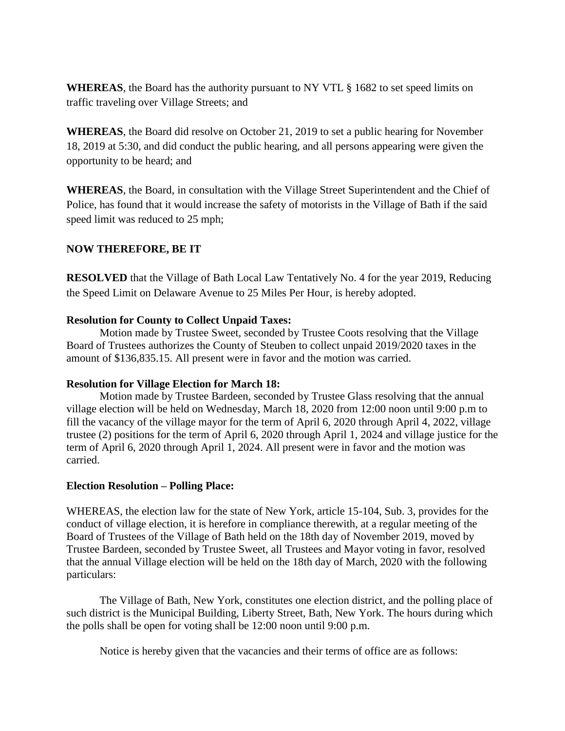**WHEREAS**, the Board has the authority pursuant to NY VTL § 1682 to set speed limits on traffic traveling over Village Streets; and

**WHEREAS**, the Board did resolve on October 21, 2019 to set a public hearing for November 18, 2019 at 5:30, and did conduct the public hearing, and all persons appearing were given the opportunity to be heard; and

**WHEREAS**, the Board, in consultation with the Village Street Superintendent and the Chief of Police, has found that it would increase the safety of motorists in the Village of Bath if the said speed limit was reduced to 25 mph;

## **NOW THEREFORE, BE IT**

**RESOLVED** that the Village of Bath Local Law Tentatively No. 4 for the year 2019, Reducing the Speed Limit on Delaware Avenue to 25 Miles Per Hour, is hereby adopted.

## **Resolution for County to Collect Unpaid Taxes:**

Motion made by Trustee Sweet, seconded by Trustee Coots resolving that the Village Board of Trustees authorizes the County of Steuben to collect unpaid 2019/2020 taxes in the amount of \$136,835.15. All present were in favor and the motion was carried.

## **Resolution for Village Election for March 18:**

Motion made by Trustee Bardeen, seconded by Trustee Glass resolving that the annual village election will be held on Wednesday, March 18, 2020 from 12:00 noon until 9:00 p.m to fill the vacancy of the village mayor for the term of April 6, 2020 through April 4, 2022, village trustee (2) positions for the term of April 6, 2020 through April 1, 2024 and village justice for the term of April 6, 2020 through April 1, 2024. All present were in favor and the motion was carried.

#### **Election Resolution – Polling Place:**

WHEREAS, the election law for the state of New York, article 15-104, Sub. 3, provides for the conduct of village election, it is herefore in compliance therewith, at a regular meeting of the Board of Trustees of the Village of Bath held on the 18th day of November 2019, moved by Trustee Bardeen, seconded by Trustee Sweet, all Trustees and Mayor voting in favor, resolved that the annual Village election will be held on the 18th day of March, 2020 with the following particulars:

The Village of Bath, New York, constitutes one election district, and the polling place of such district is the Municipal Building, Liberty Street, Bath, New York. The hours during which the polls shall be open for voting shall be 12:00 noon until 9:00 p.m.

Notice is hereby given that the vacancies and their terms of office are as follows: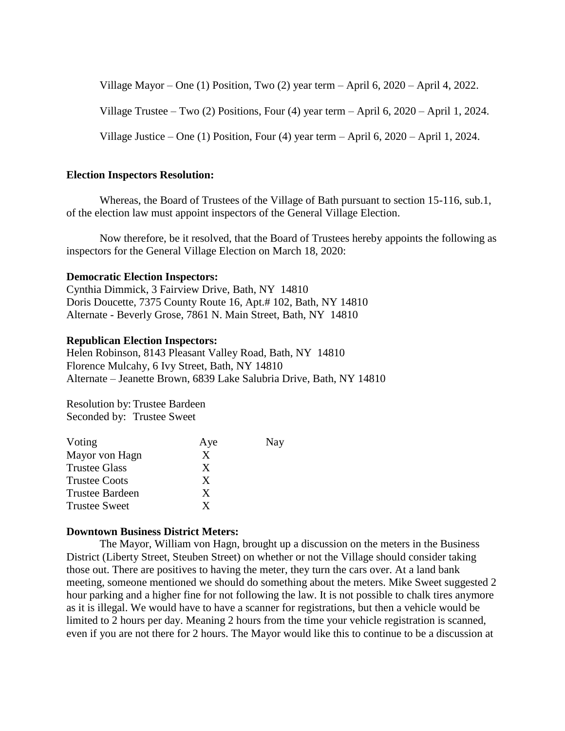Village Mayor – One (1) Position, Two (2) year term – April 6, 2020 – April 4, 2022.

Village Trustee – Two (2) Positions, Four (4) year term – April 6, 2020 – April 1, 2024.

Village Justice – One (1) Position, Four (4) year term – April 6, 2020 – April 1, 2024.

#### **Election Inspectors Resolution:**

Whereas, the Board of Trustees of the Village of Bath pursuant to section 15-116, sub.1, of the election law must appoint inspectors of the General Village Election.

Now therefore, be it resolved, that the Board of Trustees hereby appoints the following as inspectors for the General Village Election on March 18, 2020:

#### **Democratic Election Inspectors:**

Cynthia Dimmick, 3 Fairview Drive, Bath, NY 14810 Doris Doucette, 7375 County Route 16, Apt.# 102, Bath, NY 14810 Alternate - Beverly Grose, 7861 N. Main Street, Bath, NY 14810

#### **Republican Election Inspectors:**

Helen Robinson, 8143 Pleasant Valley Road, Bath, NY 14810 Florence Mulcahy, 6 Ivy Street, Bath, NY 14810 Alternate – Jeanette Brown, 6839 Lake Salubria Drive, Bath, NY 14810

Resolution by: Trustee Bardeen Seconded by: Trustee Sweet

| Voting               | Aye | Nay |
|----------------------|-----|-----|
| Mayor von Hagn       | X   |     |
| <b>Trustee Glass</b> | X   |     |
| <b>Trustee Coots</b> | X   |     |
| Trustee Bardeen      | X   |     |
| <b>Trustee Sweet</b> | X   |     |

#### **Downtown Business District Meters:**

The Mayor, William von Hagn, brought up a discussion on the meters in the Business District (Liberty Street, Steuben Street) on whether or not the Village should consider taking those out. There are positives to having the meter, they turn the cars over. At a land bank meeting, someone mentioned we should do something about the meters. Mike Sweet suggested 2 hour parking and a higher fine for not following the law. It is not possible to chalk tires anymore as it is illegal. We would have to have a scanner for registrations, but then a vehicle would be limited to 2 hours per day. Meaning 2 hours from the time your vehicle registration is scanned, even if you are not there for 2 hours. The Mayor would like this to continue to be a discussion at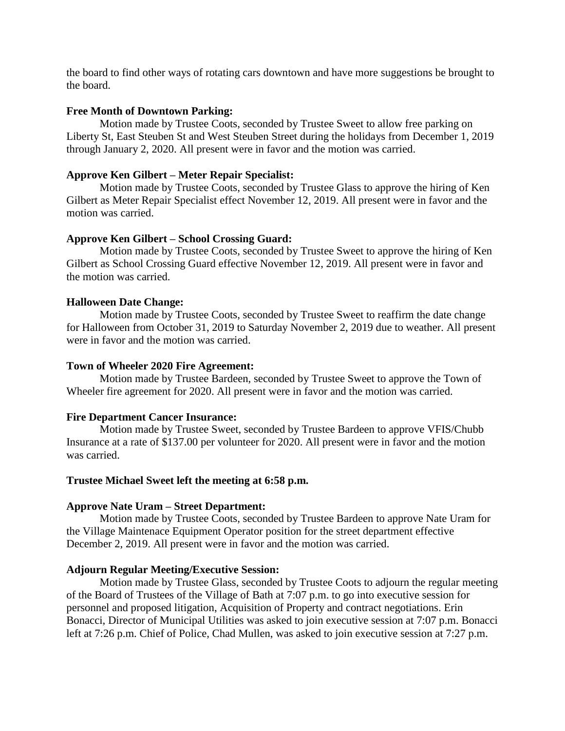the board to find other ways of rotating cars downtown and have more suggestions be brought to the board.

## **Free Month of Downtown Parking:**

Motion made by Trustee Coots, seconded by Trustee Sweet to allow free parking on Liberty St, East Steuben St and West Steuben Street during the holidays from December 1, 2019 through January 2, 2020. All present were in favor and the motion was carried.

## **Approve Ken Gilbert – Meter Repair Specialist:**

Motion made by Trustee Coots, seconded by Trustee Glass to approve the hiring of Ken Gilbert as Meter Repair Specialist effect November 12, 2019. All present were in favor and the motion was carried.

## **Approve Ken Gilbert – School Crossing Guard:**

Motion made by Trustee Coots, seconded by Trustee Sweet to approve the hiring of Ken Gilbert as School Crossing Guard effective November 12, 2019. All present were in favor and the motion was carried.

## **Halloween Date Change:**

Motion made by Trustee Coots, seconded by Trustee Sweet to reaffirm the date change for Halloween from October 31, 2019 to Saturday November 2, 2019 due to weather. All present were in favor and the motion was carried.

#### **Town of Wheeler 2020 Fire Agreement:**

Motion made by Trustee Bardeen, seconded by Trustee Sweet to approve the Town of Wheeler fire agreement for 2020. All present were in favor and the motion was carried.

## **Fire Department Cancer Insurance:**

Motion made by Trustee Sweet, seconded by Trustee Bardeen to approve VFIS/Chubb Insurance at a rate of \$137.00 per volunteer for 2020. All present were in favor and the motion was carried.

#### **Trustee Michael Sweet left the meeting at 6:58 p.m.**

#### **Approve Nate Uram – Street Department:**

Motion made by Trustee Coots, seconded by Trustee Bardeen to approve Nate Uram for the Village Maintenace Equipment Operator position for the street department effective December 2, 2019. All present were in favor and the motion was carried.

#### **Adjourn Regular Meeting/Executive Session:**

Motion made by Trustee Glass, seconded by Trustee Coots to adjourn the regular meeting of the Board of Trustees of the Village of Bath at 7:07 p.m. to go into executive session for personnel and proposed litigation, Acquisition of Property and contract negotiations. Erin Bonacci, Director of Municipal Utilities was asked to join executive session at 7:07 p.m. Bonacci left at 7:26 p.m. Chief of Police, Chad Mullen, was asked to join executive session at 7:27 p.m.